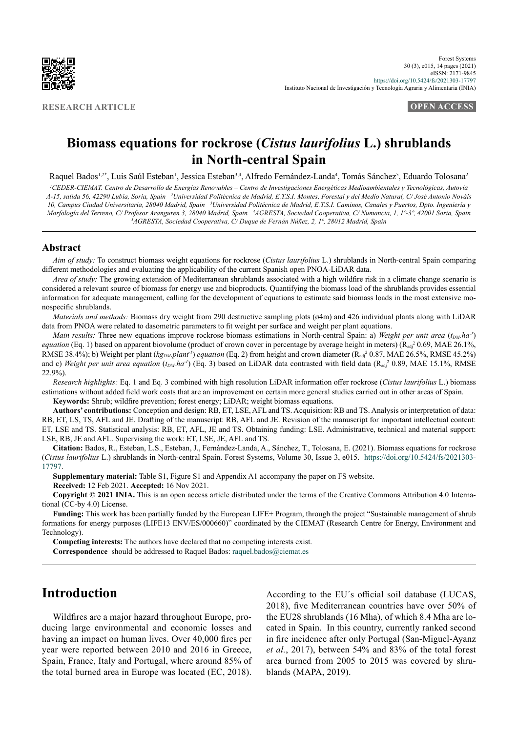

**RESEARCH ARTICLE OPEN ACCESS**

# **Biomass equations for rockrose (***Cistus laurifolius* **L.) shrublands in North-central Spain**

Raquel Bados<sup>1,2</sup>\*, Luis Saúl Esteban<sup>1</sup>, Jessica Esteban<sup>3,4</sup>, Alfredo Fernández-Landa<sup>4</sup>, Tomás Sánchez<sup>5</sup>, Eduardo Tolosana<sup>2</sup>

<sup>1</sup>CEDER-CIEMAT. Centro de Desarrollo de Energías Renovables – Centro de Investigaciones Energéticas Medioambientales y Tecnológicas, Autovía *A-15, salida 56, 42290 Lubia, Soria, Spain 2 Universidad Politécnica de Madrid, E.T.S.I. Montes, Forestal y del Medio Natural, C/ José Antonio Nováis*  10, Campus Ciudad Universitaria, 28040 Madrid, Spain <sup>3</sup>Universidad Politécnica de Madrid, E.T.S.I. Caminos, Canales y Puertos, Dpto. Ingeniería y *Morfología del Terreno, C/ Profesor Aranguren 3, 28040 Madrid, Spain 4 AGRESTA, Sociedad Cooperativa, C/ Numancia, 1, 1º-3º, 42001 Soria, Spain 5 AGRESTA, Sociedad Cooperativa, C/ Duque de Fernán Núñez, 2, 1º, 28012 Madrid, Spain*

#### **Abstract**

*Aim of study:* To construct biomass weight equations for rockrose (*Cistus laurifolius* L.) shrublands in North-central Spain comparing different methodologies and evaluating the applicability of the current Spanish open PNOA-LiDAR data.

*Area of study:* The growing extension of Mediterranean shrublands associated with a high wildfire risk in a climate change scenario is considered a relevant source of biomass for energy use and bioproducts. Quantifying the biomass load of the shrublands provides essential information for adequate management, calling for the development of equations to estimate said biomass loads in the most extensive monospecific shrublands.

*Materials and methods:* Biomass dry weight from 290 destructive sampling plots (ø4m) and 426 individual plants along with LiDAR data from PNOA were related to dasometric parameters to fit weight per surface and weight per plant equations.

*Main results:* Three new equations improve rockrose biomass estimations in North-central Spain: a) Weight per unit area ( $t_{DM}$ , ha<sup>-1</sup>) *equation* (Eq. 1) based on apparent biovolume (product of crown cover in percentage by average height in meters) (R<sub>adj</sub><sup>2</sup> 0.69, MAE 26.1%, RMSE 38.4%); b) Weight per plant (*kg<sub>DM</sub>.plant<sup>1</sup>*) *equation* (Eq. 2) from height and crown diameter (R<sub>adj</sub><sup>2</sup> 0.87, MAE 26.5%, RMSE 45.2%) and c) *Weight per unit area equation*  $(t_{DM}$ *ha<sup>-1</sup>*) (Eq. 3) based on LiDAR data contrasted with field data ( $R_{adj}^2$  0.89, MAE 15.1%, RMSE 22.9%).

*Research highlights:* Eq. 1 and Eq. 3 combined with high resolution LiDAR information offer rockrose (*Cistus laurifolius* L.) biomass estimations without added field work costs that are an improvement on certain more general studies carried out in other areas of Spain.

**Keywords:** Shrub; wildfire prevention; forest energy; LiDAR; weight biomass equations.

**Authors' contributions:** Conception and design: RB, ET, LSE, AFL and TS. Acquisition: RB and TS. Analysis or interpretation of data: RB, ET, LS, TS, AFL and JE. Drafting of the manuscript: RB, AFL and JE. Revision of the manuscript for important intellectual content: ET, LSE and TS. Statistical analysis: RB, ET, AFL, JE and TS. Obtaining funding: LSE. Administrative, technical and material support: LSE, RB, JE and AFL. Supervising the work: ET, LSE, JE, AFL and TS.

**Citation:** Bados, R., Esteban, L.S., Esteban, J., Fernández-Landa, A., Sánchez, T., Tolosana, E. (2021). Biomass equations for rockrose (*Cistus laurifolius* L.) shrublands in North-central Spain. Forest Systems, Volume 30, Issue 3, e015. [https://doi.org/10.5424/fs/2021303-](https://doi.org/10.5424/fs/2021303-17797) [17797](https://doi.org/10.5424/fs/2021303-17797).

**Supplementary material:** Table S1, Figure S1 and Appendix A1 accompany the paper on FS website.

**Received:** 12 Feb 2021. **Accepted:** 16 Nov 2021.

**Copyright © 2021 INIA.** This is an open access article distributed under the terms of the Creative Commons Attribution 4.0 International (CC-by 4.0) License.

**Funding:** This work has been partially funded by the European LIFE+ Program, through the project "Sustainable management of shrub formations for energy purposes (LIFE13 ENV/ES/000660)" coordinated by the CIEMAT (Research Centre for Energy, Environment and Technology).

**Competing interests:** The authors have declared that no competing interests exist.

**Correspondence** should be addressed to Raquel Bados: [raquel.bados@ciemat.es](mailto:raquel.bados%40ciemat.es?subject=)

## **Introduction**

Wildfires are a major hazard throughout Europe, producing large environmental and economic losses and having an impact on human lives. Over 40,000 fires per year were reported between 2010 and 2016 in Greece, Spain, France, Italy and Portugal, where around 85% of the total burned area in Europe was located (EC, 2018).

According to the EU´s official soil database (LUCAS, 2018), five Mediterranean countries have over 50% of the EU28 shrublands (16 Mha), of which 8.4 Mha are located in Spain. In this country, currently ranked second in fire incidence after only Portugal (San-Miguel-Ayanz *et al.*, 2017), between 54% and 83% of the total forest area burned from 2005 to 2015 was covered by shrublands (MAPA, 2019).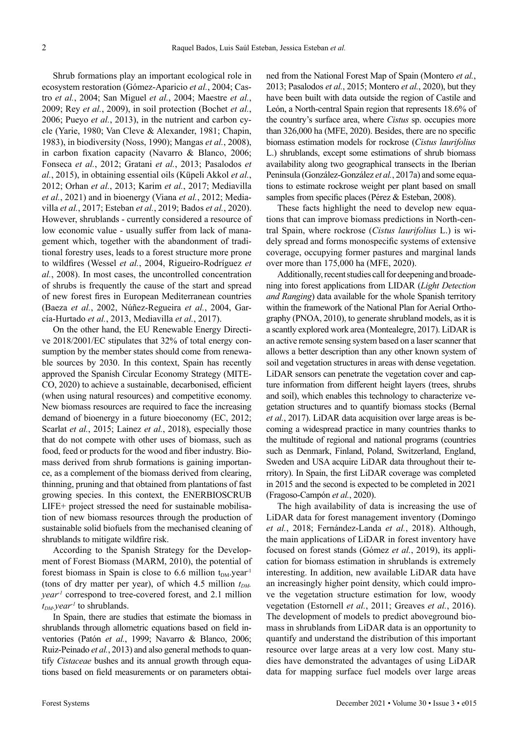Shrub formations play an important ecological role in ecosystem restoration (Gómez-Aparicio *et al.*, 2004; Castro *et al.*, 2004; San Miguel *et al.*, 2004; Maestre *et al.*, 2009; Rey *et al.*, 2009), in soil protection (Bochet *et al.*, 2006; Pueyo *et al.*, 2013), in the nutrient and carbon cycle (Yarie, 1980; Van Cleve & Alexander, 1981; Chapin, 1983), in biodiversity (Noss, 1990); Mangas *et al.*, 2008), in carbon fixation capacity (Navarro & Blanco, 2006; Fonseca *et al.*, 2012; Gratani *et al.*, 2013; Pasalodos *et al.*, 2015), in obtaining essential oils (Küpeli Akkol *et al.*, 2012; Orhan *et al.*, 2013; Karim *et al.*, 2017; Mediavilla *et al.*, 2021) and in bioenergy (Viana *et al.*, 2012; Mediavilla *et al.*, 2017; Esteban *et al.*, 2019; Bados *et al.*, 2020). However, shrublands - currently considered a resource of low economic value - usually suffer from lack of management which, together with the abandonment of traditional forestry uses, leads to a forest structure more prone to wildfires (Wessel *et al.*, 2004, Rigueiro-Rodríguez *et al.*, 2008). In most cases, the uncontrolled concentration of shrubs is frequently the cause of the start and spread of new forest fires in European Mediterranean countries (Baeza *et al.*, 2002, Núñez-Regueira *et al.*, 2004, García-Hurtado *et al.*, 2013, Mediavilla *et al.*, 2017).

On the other hand, the EU Renewable Energy Directive 2018/2001/EC stipulates that 32% of total energy consumption by the member states should come from renewable sources by 2030. In this context, Spain has recently approved the Spanish Circular Economy Strategy (MITE-CO, 2020) to achieve a sustainable, decarbonised, efficient (when using natural resources) and competitive economy. New biomass resources are required to face the increasing demand of bioenergy in a future bioeconomy (EC, 2012; Scarlat *et al.*, 2015; Lainez *et al.*, 2018), especially those that do not compete with other uses of biomass, such as food, feed or products for the wood and fiber industry. Biomass derived from shrub formations is gaining importance, as a complement of the biomass derived from clearing, thinning, pruning and that obtained from plantations of fast growing species. In this context, the ENERBIOSCRUB LIFE+ project stressed the need for sustainable mobilisation of new biomass resources through the production of sustainable solid biofuels from the mechanised cleaning of shrublands to mitigate wildfire risk.

According to the Spanish Strategy for the Development of Forest Biomass (MARM, 2010), the potential of forest biomass in Spain is close to 6.6 million  $t_{DM}$  year<sup>-1</sup> (tons of dry matter per year), of which 4.5 million  $t_{DM}$ . *year-1* correspond to tree-covered forest, and 2.1 million  $t_{DM}$ *year<sup>-1</sup>* to shrublands.

In Spain, there are studies that estimate the biomass in shrublands through allometric equations based on field inventories (Patón *et al.*, 1999; Navarro & Blanco, 2006; Ruiz-Peinado *et al.*, 2013) and also general methods to quantify *Cistaceae* bushes and its annual growth through equations based on field measurements or on parameters obtained from the National Forest Map of Spain (Montero *et al.*, 2013; Pasalodos *et al.*, 2015; Montero *et al.*, 2020), but they have been built with data outside the region of Castile and León, a North-central Spain region that represents 18.6% of the country's surface area, where *Cistus* sp. occupies more than 326,000 ha (MFE, 2020). Besides, there are no specific biomass estimation models for rockrose (*Cistus laurifolius*  L.) shrublands, except some estimations of shrub biomass availability along two geographical transects in the Iberian Peninsula (González-González *et al.*, 2017a) and some equations to estimate rockrose weight per plant based on small samples from specific places (Pérez & Esteban, 2008).

These facts highlight the need to develop new equations that can improve biomass predictions in North-central Spain, where rockrose (*Cistus laurifolius* L.) is widely spread and forms monospecific systems of extensive coverage, occupying former pastures and marginal lands over more than 175,000 ha (MFE, 2020).

Additionally, recent studies call for deepening and broadening into forest applications from LIDAR (*Light Detection and Ranging*) data available for the whole Spanish territory within the framework of the National Plan for Aerial Orthography (PNOA, 2010), to generate shrubland models, as it is a scantly explored work area (Montealegre, 2017). LiDAR is an active remote sensing system based on a laser scanner that allows a better description than any other known system of soil and vegetation structures in areas with dense vegetation. LiDAR sensors can penetrate the vegetation cover and capture information from different height layers (trees, shrubs and soil), which enables this technology to characterize vegetation structures and to quantify biomass stocks (Bernal *et al.*, 2017). LiDAR data acquisition over large areas is becoming a widespread practice in many countries thanks to the multitude of regional and national programs (countries such as Denmark, Finland, Poland, Switzerland, England, Sweden and USA acquire LiDAR data throughout their territory). In Spain, the first LiDAR coverage was completed in 2015 and the second is expected to be completed in 2021 (Fragoso-Campón *et al.*, 2020).

The high availability of data is increasing the use of LiDAR data for forest management inventory (Domingo *et al.*, 2018; Fernández-Landa *et al.*, 2018). Although, the main applications of LiDAR in forest inventory have focused on forest stands (Gómez *et al.*, 2019), its application for biomass estimation in shrublands is extremely interesting. In addition, new available LiDAR data have an increasingly higher point density, which could improve the vegetation structure estimation for low, woody vegetation (Estornell *et al.*, 2011; Greaves *et al.*, 2016). The development of models to predict aboveground biomass in shrublands from LiDAR data is an opportunity to quantify and understand the distribution of this important resource over large areas at a very low cost. Many studies have demonstrated the advantages of using LiDAR data for mapping surface fuel models over large areas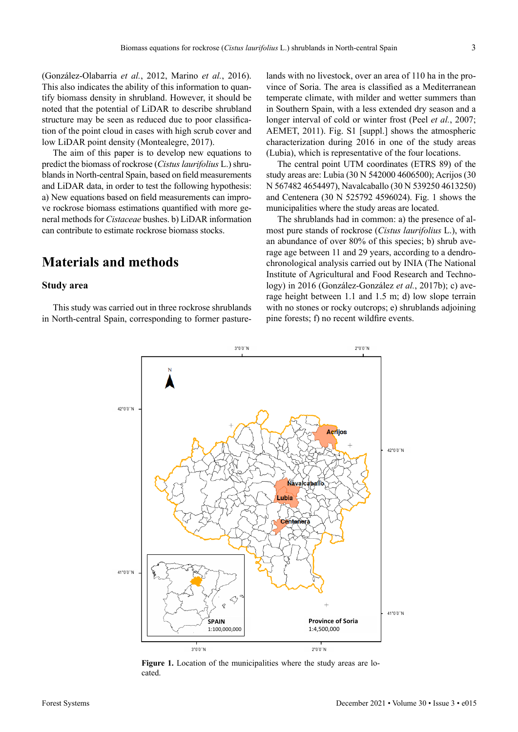(González-Olabarria *et al.*, 2012, Marino *et al.*, 2016). This also indicates the ability of this information to quantify biomass density in shrubland. However, it should be noted that the potential of LiDAR to describe shrubland structure may be seen as reduced due to poor classification of the point cloud in cases with high scrub cover and low LiDAR point density (Montealegre, 2017).

The aim of this paper is to develop new equations to predict the biomass of rockrose (*Cistus laurifolius* L.) shrublands in North-central Spain, based on field measurements and LiDAR data, in order to test the following hypothesis: a) New equations based on field measurements can improve rockrose biomass estimations quantified with more general methods for *Cistaceae* bushes. b) LiDAR information can contribute to estimate rockrose biomass stocks.

# **Materials and methods**

#### **Study area**

This study was carried out in three rockrose shrublands in North-central Spain, corresponding to former pasturelands with no livestock, over an area of 110 ha in the province of Soria. The area is classified as a Mediterranean temperate climate, with milder and wetter summers than in Southern Spain, with a less extended dry season and a longer interval of cold or winter frost (Peel *et al.*, 2007; AEMET, 2011). Fig. S1 [suppl.] shows the atmospheric characterization during 2016 in one of the study areas (Lubia), which is representative of the four locations.

The central point UTM coordinates (ETRS 89) of the study areas are: Lubia (30 N 542000 4606500); Acrijos (30 N 567482 4654497), Navalcaballo (30 N 539250 4613250) and Centenera (30 N 525792 4596024). Fig. 1 shows the municipalities where the study areas are located.

The shrublands had in common: a) the presence of almost pure stands of rockrose (*Cistus laurifolius* L.), with an abundance of over 80% of this species; b) shrub average age between 11 and 29 years, according to a dendrochronological analysis carried out by INIA (The National Institute of Agricultural and Food Research and Technology) in 2016 (González-González *et al.*, 2017b); c) average height between 1.1 and 1.5 m; d) low slope terrain with no stones or rocky outcrops; e) shrublands adjoining pine forests; f) no recent wildfire events.



**Figure 1.** Location of the municipalities where the study areas are located.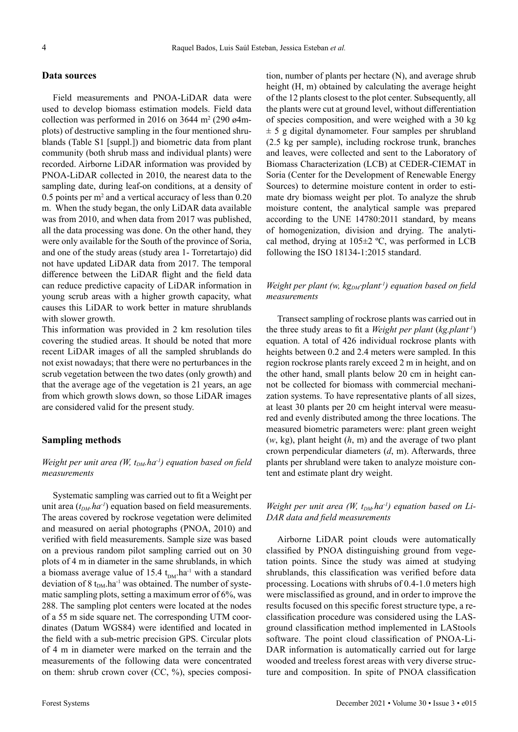#### **Data sources**

Field measurements and PNOA-LiDAR data were used to develop biomass estimation models. Field data collection was performed in 2016 on 3644 m<sup>2</sup> (290  $\omega$ 4mplots) of destructive sampling in the four mentioned shrublands (Table S1 [suppl.]) and biometric data from plant community (both shrub mass and individual plants) were recorded. Airborne LiDAR information was provided by PNOA-LiDAR collected in 2010, the nearest data to the sampling date, during leaf-on conditions, at a density of 0.5 points per m<sup>2</sup> and a vertical accuracy of less than 0.20 m. When the study began, the only LiDAR data available was from 2010, and when data from 2017 was published, all the data processing was done. On the other hand, they were only available for the South of the province of Soria, and one of the study areas (study area 1- Torretartajo) did not have updated LiDAR data from 2017. The temporal difference between the LiDAR flight and the field data can reduce predictive capacity of LiDAR information in young scrub areas with a higher growth capacity, what causes this LiDAR to work better in mature shrublands with slower growth.

This information was provided in 2 km resolution tiles covering the studied areas. It should be noted that more recent LiDAR images of all the sampled shrublands do not exist nowadays; that there were no perturbances in the scrub vegetation between the two dates (only growth) and that the average age of the vegetation is 21 years, an age from which growth slows down, so those LiDAR images are considered valid for the present study.

#### **Sampling methods**

#### *Weight per unit area (W, t<sub>DM</sub>.ha<sup>-1</sup>) equation based on field measurements*

Systematic sampling was carried out to fit a Weight per unit area  $(t_{DM}$ .*ha<sup>-1</sup>*) equation based on field measurements. The areas covered by rockrose vegetation were delimited and measured on aerial photographs (PNOA, 2010) and verified with field measurements. Sample size was based on a previous random pilot sampling carried out on 30 plots of 4 m in diameter in the same shrublands, in which a biomass average value of 15.4  $t_{DM}$ .ha<sup>-1</sup> with a standard deviation of 8  $t_{DM}$ .ha<sup>-1</sup> was obtained. The number of systematic sampling plots, setting a maximum error of 6%, was 288. The sampling plot centers were located at the nodes of a 55 m side square net. The corresponding UTM coordinates (Datum WGS84) were identified and located in the field with a sub-metric precision GPS. Circular plots of 4 m in diameter were marked on the terrain and the measurements of the following data were concentrated on them: shrub crown cover (CC, %), species composition, number of plants per hectare (N), and average shrub height (H, m) obtained by calculating the average height of the 12 plants closest to the plot center. Subsequently, all the plants were cut at ground level, without differentiation of species composition, and were weighed with a 30 kg  $\pm$  5 g digital dynamometer. Four samples per shrubland (2.5 kg per sample), including rockrose trunk, branches and leaves, were collected and sent to the Laboratory of Biomass Characterization (LCB) at CEDER-CIEMAT in Soria (Center for the Development of Renewable Energy Sources) to determine moisture content in order to estimate dry biomass weight per plot. To analyze the shrub moisture content, the analytical sample was prepared according to the UNE 14780:2011 standard, by means of homogenization, division and drying. The analytical method, drying at  $105\pm2$  °C, was performed in LCB following the ISO 18134-1:2015 standard.

#### *Weight per plant (w, kg<sub>DM</sub> plant<sup>-1</sup>) equation based on field measurements*

Transect sampling of rockrose plants was carried out in the three study areas to fit a *Weight per plant* (*kg.plant-1*) equation. A total of 426 individual rockrose plants with heights between 0.2 and 2.4 meters were sampled. In this region rockrose plants rarely exceed 2 m in height, and on the other hand, small plants below 20 cm in height cannot be collected for biomass with commercial mechanization systems. To have representative plants of all sizes, at least 30 plants per 20 cm height interval were measured and evenly distributed among the three locations. The measured biometric parameters were: plant green weight (*w*, kg), plant height (*h*, m) and the average of two plant crown perpendicular diameters (*d*, m). Afterwards, three plants per shrubland were taken to analyze moisture content and estimate plant dry weight.

#### *Weight per unit area (W, t<sub>DM</sub>.ha<sup>-1</sup>) equation based on Li-DAR data and field measurements*

Airborne LiDAR point clouds were automatically classified by PNOA distinguishing ground from vegetation points. Since the study was aimed at studying shrublands, this classification was verified before data processing. Locations with shrubs of 0.4-1.0 meters high were misclassified as ground, and in order to improve the results focused on this specific forest structure type, a reclassification procedure was considered using the LASground classification method implemented in LAStools software. The point cloud classification of PNOA-Li-DAR information is automatically carried out for large wooded and treeless forest areas with very diverse structure and composition. In spite of PNOA classification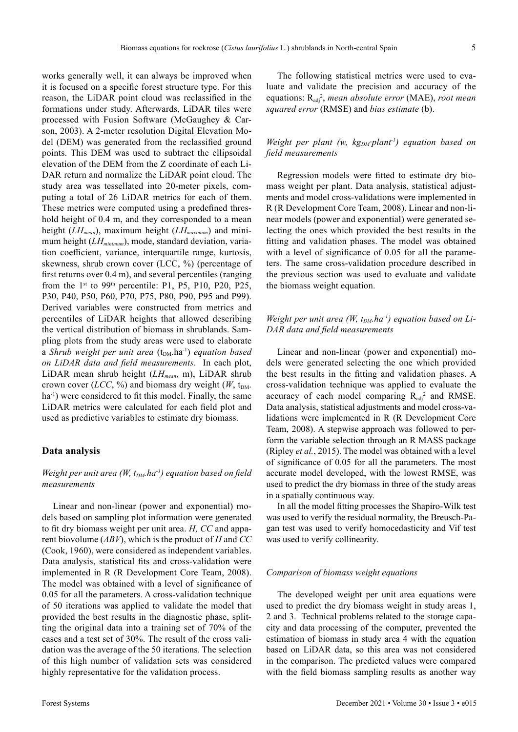works generally well, it can always be improved when it is focused on a specific forest structure type. For this reason, the LiDAR point cloud was reclassified in the formations under study. Afterwards, LiDAR tiles were processed with Fusion Software (McGaughey & Carson, 2003). A 2-meter resolution Digital Elevation Model (DEM) was generated from the reclassified ground points. This DEM was used to subtract the ellipsoidal elevation of the DEM from the Z coordinate of each Li-DAR return and normalize the LiDAR point cloud. The study area was tessellated into 20-meter pixels, computing a total of 26 LiDAR metrics for each of them. These metrics were computed using a predefined threshold height of 0.4 m, and they corresponded to a mean height (*LH<sub>mean</sub>*), maximum height (*LH<sub>maximum</sub>*) and minimum height (*LH<sub>minimum</sub>*), mode, standard deviation, variation coefficient, variance, interquartile range, kurtosis, skewness, shrub crown cover (LCC, %) (percentage of first returns over 0.4 m), and several percentiles (ranging from the  $1<sup>st</sup>$  to 99<sup>th</sup> percentile: P1, P5, P10, P20, P25, P30, P40, P50, P60, P70, P75, P80, P90, P95 and P99). Derived variables were constructed from metrics and percentiles of LiDAR heights that allowed describing the vertical distribution of biomass in shrublands. Sampling plots from the study areas were used to elaborate a *Shrub weight per unit area* ( $t_{DM}$ .ha<sup>-1</sup>) *equation based on LiDAR data and field measurements*. In each plot, LiDAR mean shrub height (*LHmean*, m), LiDAR shrub crown cover (*LCC*, %) and biomass dry weight ( $W$ , t<sub>DM</sub>. ha<sup>-1</sup>) were considered to fit this model. Finally, the same LiDAR metrics were calculated for each field plot and used as predictive variables to estimate dry biomass.

#### **Data analysis**

### *Weight per unit area (W, t<sub>DM</sub>.ha<sup>-1</sup>) equation based on field measurements*

Linear and non-linear (power and exponential) models based on sampling plot information were generated to fit dry biomass weight per unit area. *H, CC* and apparent biovolume (*ABV*), which is the product of *H* and *CC* (Cook, 1960), were considered as independent variables. Data analysis, statistical fits and cross-validation were implemented in R (R Development Core Team, 2008). The model was obtained with a level of significance of 0.05 for all the parameters. A cross-validation technique of 50 iterations was applied to validate the model that provided the best results in the diagnostic phase, splitting the original data into a training set of 70% of the cases and a test set of 30%. The result of the cross validation was the average of the 50 iterations. The selection of this high number of validation sets was considered highly representative for the validation process.

The following statistical metrics were used to evaluate and validate the precision and accuracy of the equations:  $R_{adj}^2$ , *mean absolute error* (MAE), *root mean squared error* (RMSE) and *bias estimate* (b).

#### *Weight per plant (w, kg<sub>DM</sub>⋅plant<sup>-1</sup>) equation based on field measurements*

Regression models were fitted to estimate dry biomass weight per plant. Data analysis, statistical adjustments and model cross-validations were implemented in R (R Development Core Team, 2008). Linear and non-linear models (power and exponential) were generated selecting the ones which provided the best results in the fitting and validation phases. The model was obtained with a level of significance of 0.05 for all the parameters. The same cross-validation procedure described in the previous section was used to evaluate and validate the biomass weight equation.

#### *Weight per unit area (W,*  $t_{DM}$ *, ha<sup>-1</sup>) equation based on Li-DAR data and field measurements*

Linear and non-linear (power and exponential) models were generated selecting the one which provided the best results in the fitting and validation phases. A cross-validation technique was applied to evaluate the accuracy of each model comparing  $R_{adj}^2$  and RMSE. Data analysis, statistical adjustments and model cross-validations were implemented in R (R Development Core Team, 2008). A stepwise approach was followed to perform the variable selection through an R MASS package (Ripley *et al.*, 2015). The model was obtained with a level of significance of 0.05 for all the parameters. The most accurate model developed, with the lowest RMSE, was used to predict the dry biomass in three of the study areas in a spatially continuous way.

In all the model fitting processes the Shapiro-Wilk test was used to verify the residual normality, the Breusch-Pagan test was used to verify homocedasticity and Vif test was used to verify collinearity.

#### *Comparison of biomass weight equations*

The developed weight per unit area equations were used to predict the dry biomass weight in study areas 1, 2 and 3. Technical problems related to the storage capacity and data processing of the computer, prevented the estimation of biomass in study area 4 with the equation based on LiDAR data, so this area was not considered in the comparison. The predicted values were compared with the field biomass sampling results as another way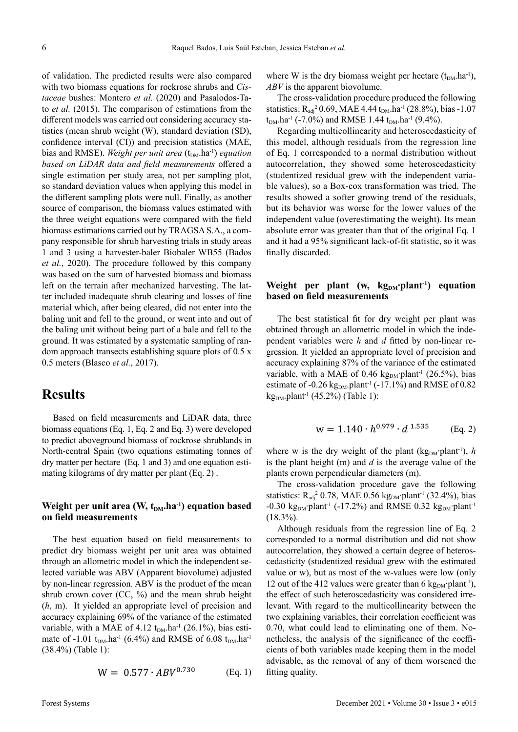of validation. The predicted results were also compared with two biomass equations for rockrose shrubs and *Cistaceae* bushes: Montero *et al.* (2020) and Pasalodos-Tato *et al.* (2015). The comparison of estimations from the different models was carried out considering accuracy statistics (mean shrub weight (W), standard deviation (SD), confidence interval (CI)) and precision statistics (MAE, bias and RMSE). *Weight per unit area* (t<sub>DM</sub>.ha<sup>-1</sup>) *equation based on LiDAR data and field measurements* offered a single estimation per study area, not per sampling plot, so standard deviation values when applying this model in the different sampling plots were null. Finally, as another source of comparison, the biomass values estimated with the three weight equations were compared with the field biomass estimations carried out by TRAGSA S.A., a company responsible for shrub harvesting trials in study areas 1 and 3 using a harvester-baler Biobaler WB55 (Bados *et al.*, 2020). The procedure followed by this company was based on the sum of harvested biomass and biomass left on the terrain after mechanized harvesting. The latter included inadequate shrub clearing and losses of fine material which, after being cleared, did not enter into the baling unit and fell to the ground, or went into and out of the baling unit without being part of a bale and fell to the ground. It was estimated by a systematic sampling of random approach transects establishing square plots of 0.5 x 0.5 meters (Blasco *et al.*, 2017).

## **Results**

Based on field measurements and LiDAR data, three biomass equations (Eq. 1, Eq. 2 and Eq. 3) were developed to predict aboveground biomass of rockrose shrublands in North-central Spain (two equations estimating tonnes of dry matter per hectare (Eq. 1 and 3) and one equation estimating kilograms of dry matter per plant (Eq. 2) .

#### **Weight per unit area (W, t<sub>DM</sub>.ha<sup>-1</sup>) equation based on field measurements**

The best equation based on field measurements to predict dry biomass weight per unit area was obtained through an allometric model in which the independent selected variable was ABV (Apparent biovolume) adjusted by non-linear regression. ABV is the product of the mean shrub crown cover  $(CC, %)$  and the mean shrub height (*h*, m). It yielded an appropriate level of precision and accuracy explaining 69% of the variance of the estimated variable, with a MAE of 4.12  $t_{DM}$ .ha<sup>-1</sup> (26.1%), bias estimate of -1.01 t<sub>DM</sub>.ha<sup>-1</sup> (6.4%) and RMSE of 6.08 t<sub>DM</sub>.ha<sup>-1</sup> (38.4%) (Table 1):

$$
W = 0.577 \cdot ABV^{0.730} \qquad (Eq. 1)
$$

where W is the dry biomass weight per hectare  $(t_{DM} \cdot ha^{-1})$ , *ABV* is the apparent biovolume.

The cross-validation procedure produced the following statistics:  $R_{\text{adj}}^2$  0.69, MAE 4.44 t<sub>DM</sub>.ha<sup>-1</sup> (28.8%), bias -1.07  $t_{DM}$ .ha<sup>-1</sup> (-7.0%) and RMSE 1.44  $t_{DM}$ .ha<sup>-1</sup> (9.4%).

Regarding multicollinearity and heteroscedasticity of this model, although residuals from the regression line of Eq. 1 corresponded to a normal distribution without autocorrelation, they showed some heteroscedasticity (studentized residual grew with the independent variable values), so a Box-cox transformation was tried. The results showed a softer growing trend of the residuals, but its behavior was worse for the lower values of the independent value (overestimating the weight). Its mean absolute error was greater than that of the original Eq. 1 and it had a 95% significant lack-of-fit statistic, so it was finally discarded.

#### Weight per plant (w, kg<sub>DM</sub>·plant<sup>-1</sup>) equation **based on field measurements**

The best statistical fit for dry weight per plant was obtained through an allometric model in which the independent variables were *h* and *d* fitted by non-linear regression. It yielded an appropriate level of precision and accuracy explaining 87% of the variance of the estimated variable, with a MAE of 0.46 kg<sub>DM</sub>⋅plant<sup>-1</sup> (26.5%), bias estimate of -0.26 kg<sub>DM</sub>.plant<sup>-1</sup> (-17.1%) and RMSE of 0.82  $kg<sub>DM</sub>.plant<sup>-1</sup> (45.2%) (Table 1):$ 

$$
w = 1.140 \cdot h^{0.979} \cdot d^{1.535} \qquad (Eq. 2)
$$

where w is the dry weight of the plant (kg<sub>DM</sub>⋅plant<sup>-1</sup>), *h* is the plant height (m) and *d* is the average value of the plants crown perpendicular diameters (m).

The cross-validation procedure gave the following statistics:  $R_{\text{adj}}^2$  0.78, MAE 0.56 kg<sub>DM</sub>⋅plant<sup>-1</sup> (32.4%), bias -0.30 kg<sub>DM</sub>·plant<sup>-1</sup> (-17.2%) and RMSE 0.32 kg<sub>DM</sub>·plant<sup>-1</sup>  $(18.3\%)$ .

Although residuals from the regression line of Eq. 2 corresponded to a normal distribution and did not show autocorrelation, they showed a certain degree of heteroscedasticity (studentized residual grew with the estimated value or w), but as most of the w-values were low (only 12 out of the 412 values were greater than 6 kg<sub>DM</sub>⋅plant<sup>-1</sup>), the effect of such heteroscedasticity was considered irrelevant. With regard to the multicollinearity between the two explaining variables, their correlation coefficient was 0.70, what could lead to eliminating one of them. Nonetheless, the analysis of the significance of the coefficients of both variables made keeping them in the model advisable, as the removal of any of them worsened the fitting quality.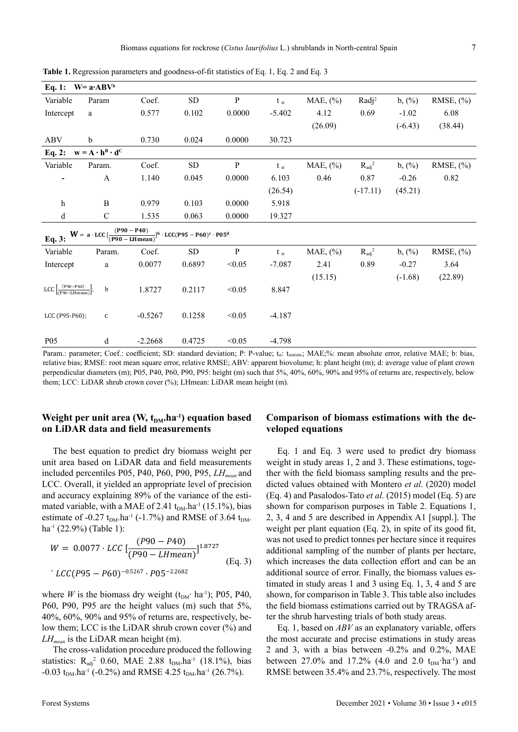| Eq. 1: $W = a \cdot ABV^b$                                                                                            |               |           |                |              |              |          |                    |                     |               |
|-----------------------------------------------------------------------------------------------------------------------|---------------|-----------|----------------|--------------|--------------|----------|--------------------|---------------------|---------------|
| Variable                                                                                                              | Param         | Coef.     | SD <sub></sub> | $\, {\bf p}$ | $t_{st}$     | MAE, (%) | Radj <sup>2</sup>  | $b,$ $\binom{0}{0}$ | RMSE, $(\% )$ |
| Intercept                                                                                                             | $\rm{a}$      | 0.577     | 0.102          | 0.0000       | $-5.402$     | 4.12     | 0.69               | $-1.02$             | 6.08          |
|                                                                                                                       |               |           |                |              |              | (26.09)  |                    | $(-6.43)$           | (38.44)       |
| <b>ABV</b>                                                                                                            | $\mathbf b$   | 0.730     | 0.024          | 0.0000       | 30.723       |          |                    |                     |               |
| Eq. 2: $w = A \cdot h^B \cdot d^C$                                                                                    |               |           |                |              |              |          |                    |                     |               |
| Variable                                                                                                              | Param.        | Coef.     | SD <sub></sub> | $\, {\bf p}$ | $t_{st}$     | MAE, (%) | $R_{\text{adj}}^2$ | $b,$ $\binom{0}{0}$ | RMSE, $(\% )$ |
|                                                                                                                       | A             | 1.140     | 0.045          | 0.0000       | 6.103        | 0.46     | 0.87               | $-0.26$             | 0.82          |
|                                                                                                                       |               |           |                |              | (26.54)      |          | $(-17.11)$         | (45.21)             |               |
| $\mathbf{h}$                                                                                                          | B             | 0.979     | 0.103          | 0.0000       | 5.918        |          |                    |                     |               |
| $\mathbf d$                                                                                                           | $\mathcal{C}$ | 1.535     | 0.063          | 0.0000       | 19.327       |          |                    |                     |               |
| Eq. 3: $W = a \cdot LCC \left[ \frac{(P90 - P40)}{(P90 - LHmean)} \right]^{b} \cdot LCC(P95 - P60)^{c} \cdot P05^{d}$ |               |           |                |              |              |          |                    |                     |               |
| Variable                                                                                                              | Param.        | Coef.     | SD <sub></sub> | $\, {\bf P}$ | $t_{\rm st}$ | MAE, (%) | $R_{\text{adj}}^2$ | $b,$ $(\%)$         | RMSE, $(\% )$ |
| Intercept                                                                                                             | a             | 0.0077    | 0.6897         | < 0.05       | $-7.087$     | 2.41     | 0.89               | $-0.27$             | 3.64          |
|                                                                                                                       |               |           |                |              |              | (15.15)  |                    | $(-1.68)$           | (22.89)       |
| LCC $\left[\frac{(P90-P40)}{(P90-LHmean)}\right]$ ;                                                                   | $\mathbf b$   | 1.8727    | 0.2117         | < 0.05       | 8.847        |          |                    |                     |               |
|                                                                                                                       |               |           |                |              |              |          |                    |                     |               |
| LCC (P95-P60);                                                                                                        | $\mathbf c$   | $-0.5267$ | 0.1258         | < 0.05       | $-4.187$     |          |                    |                     |               |
|                                                                                                                       |               |           |                |              |              |          |                    |                     |               |
| P <sub>05</sub>                                                                                                       | d             | $-2.2668$ | 0.4725         | < 0.05       | $-4.798$     |          |                    |                     |               |

**Table 1.** Regression parameters and goodness-of-fit statistics of Eq. 1, Eq. 2 and Eq. 3

Param.: parameter; Coef.: coefficient; SD: standard deviation; P: P-value; t<sub>st</sub>: t<sub>statistic</sub>; MAE;%: mean absolute error, relative MAE; b: bias, relative bias; RMSE: root mean square error, relative RMSE; ABV: apparent biovolume; h: plant height (m); d: average value of plant crown perpendicular diameters (m); P05, P40, P60, P90, P95: height (m) such that 5%, 40%, 60%, 90% and 95% of returns are, respectively, below them; LCC: LiDAR shrub crown cover (%); LHmean: LiDAR mean height (m).

### **Weight per unit area (W, t<sub>DM</sub>.ha<sup>-1</sup>) equation based on LiDAR data and field measurements**

The best equation to predict dry biomass weight per unit area based on LiDAR data and field measurements included percentiles P05, P40, P60, P90, P95, *LHmean* and LCC. Overall, it yielded an appropriate level of precision and accuracy explaining 89% of the variance of the estimated variable, with a MAE of 2.41  $t_{DM}$ .ha<sup>-1</sup> (15.1%), bias estimate of -0.27  $t_{DM}$ .ha<sup>-1</sup> (-1.7%) and RMSE of 3.64  $t_{DM}$ . ha<sup>-1</sup> (22.9%) (Table 1):

$$
W = 0.0077 \cdot LCC \left[ \frac{(P90 - P40)}{(P90 - LHmean)} \right]^{1.8727}
$$
  
\n
$$
\left[ \frac{LCC}{P95 - P60} \right]^{-0.5267} \cdot P05^{-2.2682}
$$
 (Eq. 3)

where *W* is the biomass dry weight ( $t_{DM}$ ⋅ ha<sup>-1</sup>); P05, P40, P60, P90, P95 are the height values (m) such that 5%, 40%, 60%, 90% and 95% of returns are, respectively, below them; LCC is the LiDAR shrub crown cover (%) and *LH<sub>mean</sub>* is the LiDAR mean height (m).

The cross-validation procedure produced the following statistics:  $R_{adj}^2$  0.60, MAE 2.88  $t_{DM}$ .ha<sup>-1</sup> (18.1%), bias -0.03 t<sub>DM</sub>.ha<sup>-1</sup> (-0.2%) and RMSE 4.25 t<sub>DM</sub>.ha<sup>-1</sup> (26.7%).

#### **Comparison of biomass estimations with the developed equations**

Eq. 1 and Eq. 3 were used to predict dry biomass weight in study areas 1, 2 and 3. These estimations, together with the field biomass sampling results and the predicted values obtained with Montero *et al.* (2020) model (Eq. 4) and Pasalodos-Tato *et al.* (2015) model (Eq. 5) are shown for comparison purposes in Table 2. Equations 1, 2, 3, 4 and 5 are described in Appendix A1 [suppl.]. The weight per plant equation (Eq. 2), in spite of its good fit, was not used to predict tonnes per hectare since it requires additional sampling of the number of plants per hectare, which increases the data collection effort and can be an additional source of error. Finally, the biomass values estimated in study areas 1 and 3 using Eq. 1, 3, 4 and 5 are shown, for comparison in Table 3. This table also includes the field biomass estimations carried out by TRAGSA after the shrub harvesting trials of both study areas.

Eq. 1, based on *ABV* as an explanatory variable, offers the most accurate and precise estimations in study areas 2 and 3, with a bias between -0.2% and 0.2%, MAE between 27.0% and 17.2% (4.0 and 2.0  $t_{DM}$ ·ha<sup>-1</sup>) and RMSE between 35.4% and 23.7%, respectively. The most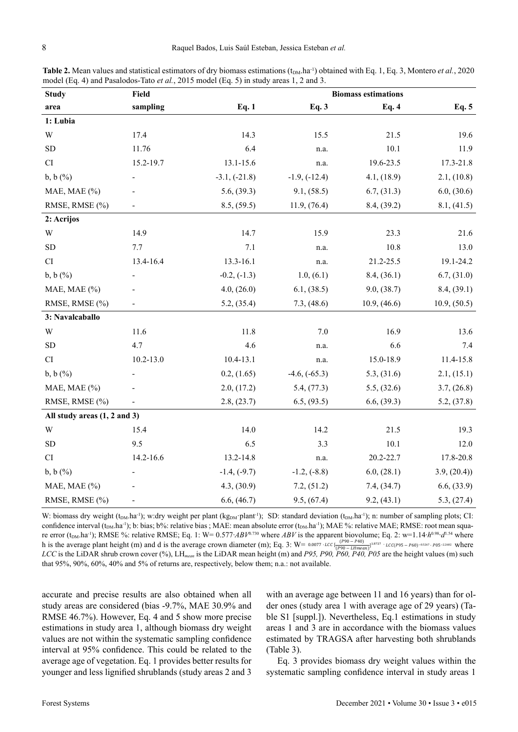| Table 2. Mean values and statistical estimators of dry biomass estimations $(t_{DM} \text{.ha}^{-1})$ obtained with Eq. 1, Eq. 3, Montero <i>et al.</i> , 2020 |
|----------------------------------------------------------------------------------------------------------------------------------------------------------------|
| model (Eq. 4) and Pasalodos-Tato <i>et al.</i> , 2015 model (Eq. 5) in study areas 1, 2 and 3.                                                                 |

| <b>Study</b>                            | Field         |                 |                 | <b>Biomass estimations</b> |              |  |
|-----------------------------------------|---------------|-----------------|-----------------|----------------------------|--------------|--|
| area                                    | sampling      | Eq. 1           | Eq. 3           | Eq. 4                      | Eq. 5        |  |
| 1: Lubia                                |               |                 |                 |                            |              |  |
| W                                       | 17.4          | 14.3            | 15.5            | 21.5                       | 19.6         |  |
| <b>SD</b>                               | 11.76         | 6.4             | n.a.            | 10.1                       | 11.9         |  |
| CI                                      | 15.2-19.7     | 13.1-15.6       | n.a.            | 19.6-23.5                  | 17.3-21.8    |  |
| $b, b$ $(\%)$                           |               | $-3.1, (-21.8)$ | $-1.9, (-12.4)$ | 4.1, (18.9)                | 2.1, (10.8)  |  |
| MAE, MAE (%)                            |               | 5.6, (39.3)     | 9.1, (58.5)     | 6.7, (31.3)                | 6.0, (30.6)  |  |
| RMSE, RMSE (%)                          |               | 8.5, (59.5)     | 11.9, (76.4)    | 8.4, (39.2)                | 8.1, (41.5)  |  |
| 2: Acrijos                              |               |                 |                 |                            |              |  |
| W                                       | 14.9          | 14.7            | 15.9            | 23.3                       | 21.6         |  |
| ${\rm SD}$                              | 7.7           | 7.1             | n.a.            | 10.8                       | 13.0         |  |
| CI                                      | 13.4-16.4     | 13.3-16.1       | n.a.            | 21.2-25.5                  | 19.1-24.2    |  |
| $b, b$ $(\%)$                           |               | $-0.2, (-1.3)$  | 1.0, (6.1)      | 8.4, (36.1)                | 6.7, (31.0)  |  |
| MAE, MAE (%)                            |               | 4.0, (26.0)     | 6.1, (38.5)     | 9.0, (38.7)                | 8.4, (39.1)  |  |
| RMSE, RMSE (%)                          |               | 5.2, (35.4)     | 7.3, (48.6)     | 10.9, (46.6)               | 10.9, (50.5) |  |
| 3: Navalcaballo                         |               |                 |                 |                            |              |  |
| W                                       | 11.6          | 11.8            | 7.0             | 16.9                       | 13.6         |  |
| ${\rm SD}$                              | 4.7           | 4.6             | n.a.            | 6.6                        | 7.4          |  |
| CI                                      | $10.2 - 13.0$ | $10.4 - 13.1$   | n.a.            | 15.0-18.9                  | 11.4-15.8    |  |
| $b, b$ $(\%)$                           |               | 0.2, (1.65)     | $-4.6, (-65.3)$ | 5.3, (31.6)                | 2.1, (15.1)  |  |
| MAE, MAE (%)                            |               | 2.0, (17.2)     | 5.4, (77.3)     | 5.5, (32.6)                | 3.7, (26.8)  |  |
| RMSE, RMSE (%)                          |               | 2.8, (23.7)     | 6.5, (93.5)     | 6.6, (39.3)                | 5.2, (37.8)  |  |
| All study areas $(1, 2 \text{ and } 3)$ |               |                 |                 |                            |              |  |
| W                                       | 15.4          | 14.0            | 14.2            | 21.5                       | 19.3         |  |
| SD                                      | 9.5           | 6.5             | 3.3             | 10.1                       | 12.0         |  |
| CI                                      | 14.2-16.6     | 13.2-14.8       | n.a.            | 20.2-22.7                  | 17.8-20.8    |  |
| $b, b$ $(\%)$                           |               | $-1.4, (-9.7)$  | $-1.2, (-8.8)$  | 6.0, (28.1)                | 3.9, (20.4)  |  |
| MAE, MAE (%)                            |               | 4.3, (30.9)     | 7.2, (51.2)     | 7.4, (34.7)                | 6.6, (33.9)  |  |
| RMSE, RMSE (%)                          |               | 6.6, (46.7)     | 9.5, (67.4)     | 9.2, (43.1)                | 5.3, (27.4)  |  |

W: biomass dry weight (t<sub>DM</sub>.ha<sup>-1</sup>); w:dry weight per plant (kg<sub>DM</sub>·plant<sup>-1</sup>); SD: standard deviation (t<sub>DM</sub>.ha<sup>-1</sup>); n: number of sampling plots; CI: confidence interval  $(t_{DM} \text{. ha}^{-1})$ ; b: bias; b%: relative bias; MAE: mean absolute error  $(t_{DM} \text{. ha}^{-1})$ ; MAE %: relative MAE; RMSE: root mean square error (t<sub>DM</sub>.ha<sup>-1</sup>); RMSE %: relative RMSE; Eq. 1: W= 0.577*⋅ABV*<sup>0.730</sup> where *ABV* is the apparent biovolume; Eq. 2: w=1.14⋅*h*<sup>0.98</sup>⋅*d*<sup>1.54</sup> where h is the average plant height (m) and d is the average crown diameter (m); Eq. 3: W=  $_{0.0077 \cdot LCC}$   $\frac{(P90 - P40)}{(P90 - LHmean)}$ <sup>1.8727</sup> *LCC* is the LiDAR shrub crown cover (%), LH<sub>mean</sub> is the LiDAR mean height (m) and *P95, P90, P60, P40, P05* are the height values (m) such Eq. 2: w=1.14 $\cdot h^{0.98} \cdot d^{1.54}$  whe  $\cdot$   $_{LCC(P95-P60)^{-0.5267}}$   $\cdot$   $_{P05^{-2.2682}}$  where that 95%, 90%, 60%, 40% and 5% of returns are, respectively, below them; n.a.: not available.

accurate and precise results are also obtained when all study areas are considered (bias -9.7%, MAE 30.9% and RMSE 46.7%). However, Eq. 4 and 5 show more precise estimations in study area 1, although biomass dry weight values are not within the systematic sampling confidence interval at 95% confidence. This could be related to the average age of vegetation. Eq. 1 provides better results for younger and less lignified shrublands (study areas 2 and 3 with an average age between 11 and 16 years) than for older ones (study area 1 with average age of 29 years) (Table S1 [suppl.]). Nevertheless, Eq.1 estimations in study areas 1 and 3 are in accordance with the biomass values estimated by TRAGSA after harvesting both shrublands (Table 3).

Eq. 3 provides biomass dry weight values within the systematic sampling confidence interval in study areas 1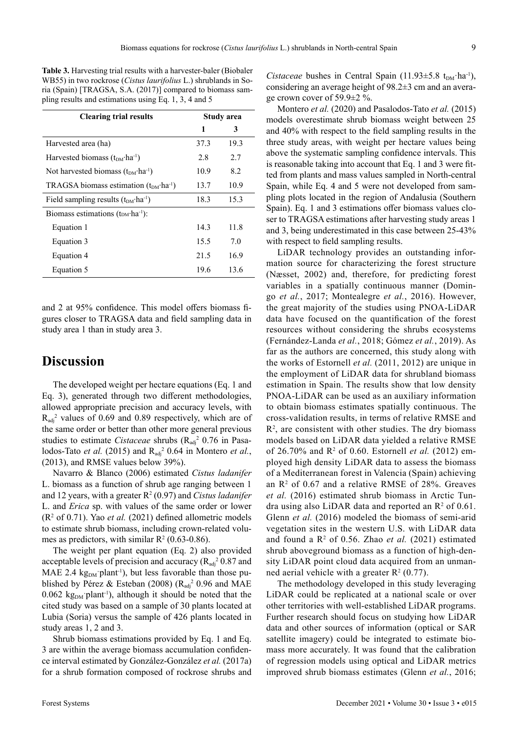**Table 3.** Harvesting trial results with a harvester-baler (Biobaler WB55) in two rockrose (*Cistus laurifolius* L.) shrublands in Soria (Spain) [TRAGSA, S.A. (2017)] compared to biomass sampling results and estimations using Eq. 1, 3, 4 and 5

| <b>Clearing trial results</b>                      | Study area |      |  |
|----------------------------------------------------|------------|------|--|
|                                                    | 1          | 3    |  |
| Harvested area (ha)                                | 37.3       | 19.3 |  |
| Harvested biomass $(t_{DM} \cdot ha^{-1})$         | 2.8        | 2.7  |  |
| Not harvested biomass $(t_{DM} \cdot ha^{-1})$     | 10.9       | 8.2  |  |
| TRAGSA biomass estimation $(t_{DM} \cdot ha^{-1})$ | 13.7       | 10.9 |  |
| Field sampling results $(t_{DM} \cdot ha^{-1})$    | 18.3       | 15.3 |  |
| Biomass estimations $(t_{DM} \cdot ha^{-1})$ :     |            |      |  |
| Equation 1                                         | 14.3       | 11.8 |  |
| Equation 3                                         | 15.5       | 7.0  |  |
| Equation 4                                         | 21.5       | 16.9 |  |
| Equation 5                                         | 19.6       | 13.6 |  |

and 2 at 95% confidence. This model offers biomass figures closer to TRAGSA data and field sampling data in study area 1 than in study area 3.

## **Discussion**

The developed weight per hectare equations (Eq. 1 and Eq. 3), generated through two different methodologies, allowed appropriate precision and accuracy levels, with  $R_{\text{adj}}^2$  values of 0.69 and 0.89 respectively, which are of the same order or better than other more general previous studies to estimate *Cistaceae* shrubs (R<sub>adj</sub><sup>2</sup> 0.76 in Pasalodos-Tato *et al.* (2015) and  $R_{adj}^2$  0.64 in Montero *et al.*, (2013), and RMSE values below 39%).

Navarro & Blanco (2006) estimated *Cistus ladanifer* L. biomass as a function of shrub age ranging between 1 and 12 years, with a greater R<sup>2</sup> (0.97) and *Cistus ladanifer* L. and *Erica* sp. with values of the same order or lower  $(R<sup>2</sup>$  of 0.71). Yao *et al.* (2021) defined allometric models to estimate shrub biomass, including crown-related volumes as predictors, with similar  $R^2$  (0.63-0.86).

The weight per plant equation (Eq. 2) also provided acceptable levels of precision and accuracy ( $R_{\text{adj}}^2$  0.87 and MAE 2.4  $kg<sub>DM</sub>$  plant<sup>-1</sup>), but less favorable than those published by Pérez & Esteban (2008) ( $R_{\text{adj}}$ <sup>2</sup> 0.96 and MAE 0.062 kg<sub>DM</sub> $\gamma$  plant<sup>-1</sup>), although it should be noted that the cited study was based on a sample of 30 plants located at Lubia (Soria) versus the sample of 426 plants located in study areas 1, 2 and 3.

Shrub biomass estimations provided by Eq. 1 and Eq. 3 are within the average biomass accumulation confidence interval estimated by González-González *et al.* (2017a) for a shrub formation composed of rockrose shrubs and

*Cistaceae* bushes in Central Spain (11.93 $\pm$ 5.8 t<sub>DM</sub>·ha<sup>-1</sup>), considering an average height of 98.2±3 cm and an average crown cover of 59.9±2 %.

Montero *et al.* (2020) and Pasalodos-Tato *et al.* (2015) models overestimate shrub biomass weight between 25 and 40% with respect to the field sampling results in the three study areas, with weight per hectare values being above the systematic sampling confidence intervals. This is reasonable taking into account that Eq. 1 and 3 were fitted from plants and mass values sampled in North-central Spain, while Eq. 4 and 5 were not developed from sampling plots located in the region of Andalusia (Southern Spain). Eq. 1 and 3 estimations offer biomass values closer to TRAGSA estimations after harvesting study areas 1 and 3, being underestimated in this case between 25-43% with respect to field sampling results.

LiDAR technology provides an outstanding information source for characterizing the forest structure (Næsset, 2002) and, therefore, for predicting forest variables in a spatially continuous manner (Domingo *et al.*, 2017; Montealegre *et al.*, 2016). However, the great majority of the studies using PNOA-LiDAR data have focused on the quantification of the forest resources without considering the shrubs ecosystems (Fernández-Landa *et al.*, 2018; Gómez *et al.*, 2019). As far as the authors are concerned, this study along with the works of Estornell *et al.* (2011, 2012) are unique in the employment of LiDAR data for shrubland biomass estimation in Spain. The results show that low density PNOA-LiDAR can be used as an auxiliary information to obtain biomass estimates spatially continuous. The cross-validation results, in terms of relative RMSE and  $R<sup>2</sup>$ , are consistent with other studies. The dry biomass models based on LiDAR data yielded a relative RMSE of 26.70% and R<sup>2</sup> of 0.60. Estornell *et al.* (2012) employed high density LiDAR data to assess the biomass of a Mediterranean forest in Valencia (Spain) achieving an  $\mathbb{R}^2$  of 0.67 and a relative RMSE of 28%. Greaves *et al.* (2016) estimated shrub biomass in Arctic Tundra using also LiDAR data and reported an  $\mathbb{R}^2$  of 0.61. Glenn *et al.* (2016) modeled the biomass of semi-arid vegetation sites in the western U.S. with LiDAR data and found a  $\mathbb{R}^2$  of 0.56. Zhao *et al.* (2021) estimated shrub aboveground biomass as a function of high-density LiDAR point cloud data acquired from an unmanned aerial vehicle with a greater  $\mathbb{R}^2$  (0.77).

The methodology developed in this study leveraging LiDAR could be replicated at a national scale or over other territories with well-established LiDAR programs. Further research should focus on studying how LiDAR data and other sources of information (optical or SAR satellite imagery) could be integrated to estimate biomass more accurately. It was found that the calibration of regression models using optical and LiDAR metrics improved shrub biomass estimates (Glenn *et al.*, 2016;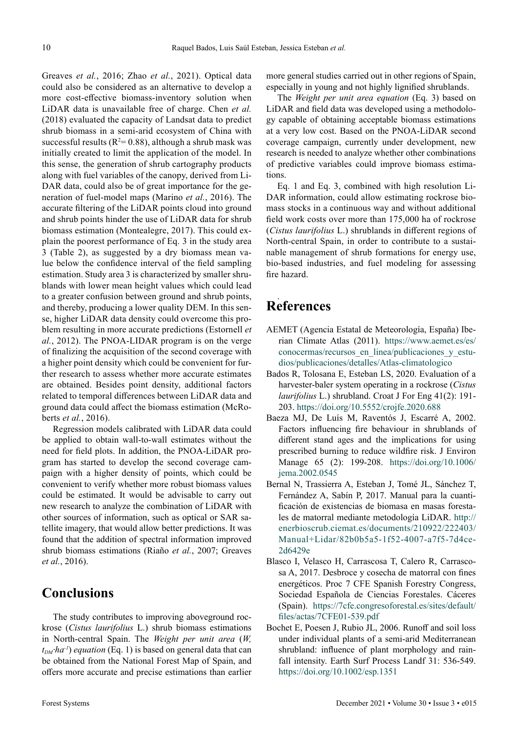Greaves *et al.*, 2016; Zhao *et al.*, 2021). Optical data could also be considered as an alternative to develop a more cost-effective biomass-inventory solution when LiDAR data is unavailable free of charge. Chen *et al.* (2018) evaluated the capacity of Landsat data to predict shrub biomass in a semi-arid ecosystem of China with successful results ( $R^2$ = 0.88), although a shrub mask was initially created to limit the application of the model. In this sense, the generation of shrub cartography products along with fuel variables of the canopy, derived from Li-DAR data, could also be of great importance for the generation of fuel-model maps (Marino *et al.*, 2016). The accurate filtering of the LiDAR points cloud into ground and shrub points hinder the use of LiDAR data for shrub biomass estimation (Montealegre, 2017). This could explain the poorest performance of Eq. 3 in the study area 3 (Table 2), as suggested by a dry biomass mean value below the confidence interval of the field sampling estimation. Study area 3 is characterized by smaller shrublands with lower mean height values which could lead to a greater confusion between ground and shrub points, and thereby, producing a lower quality DEM. In this sense, higher LiDAR data density could overcome this problem resulting in more accurate predictions (Estornell *et al.*, 2012). The PNOA-LIDAR program is on the verge of finalizing the acquisition of the second coverage with a higher point density which could be convenient for further research to assess whether more accurate estimates are obtained. Besides point density, additional factors related to temporal differences between LiDAR data and ground data could affect the biomass estimation (McRoberts *et al.*, 2016).

Regression models calibrated with LiDAR data could be applied to obtain wall-to-wall estimates without the need for field plots. In addition, the PNOA-LiDAR program has started to develop the second coverage campaign with a higher density of points, which could be convenient to verify whether more robust biomass values could be estimated. It would be advisable to carry out new research to analyze the combination of LiDAR with other sources of information, such as optical or SAR satellite imagery, that would allow better predictions. It was found that the addition of spectral information improved shrub biomass estimations (Riaño *et al.*, 2007; Greaves *et al.*, 2016).

## **Conclusions**

The study contributes to improving aboveground rockrose (*Cistus laurifolius* L.) shrub biomass estimations in North-central Spain. The *Weight per unit area* (*W,*   $t_{DM}$ *·ha<sup>-1</sup>*) *equation* (Eq. 1) is based on general data that can be obtained from the National Forest Map of Spain, and offers more accurate and precise estimations than earlier

The *Weight per unit area equation* (Eq. 3) based on LiDAR and field data was developed using a methodology capable of obtaining acceptable biomass estimations at a very low cost. Based on the PNOA-LiDAR second coverage campaign, currently under development, new research is needed to analyze whether other combinations of predictive variables could improve biomass estimations.

Eq. 1 and Eq. 3, combined with high resolution Li-DAR information, could allow estimating rockrose biomass stocks in a continuous way and without additional field work costs over more than 175,000 ha of rockrose (*Cistus laurifolius* L.) shrublands in different regions of North-central Spain, in order to contribute to a sustainable management of shrub formations for energy use, bio-based industries, and fuel modeling for assessing fire hazard.

#### . **References**

- AEMET (Agencia Estatal de Meteorología, España) Iberian Climate Atlas (2011). [https://www.aemet.es/es/](https://www.aemet.es/es/conocermas/recursos_en_linea/publicaciones_y_estudios/publicaciones/detalles/Atlas-climatologico) [conocermas/recursos\\_en\\_linea/publicaciones\\_y\\_estu](https://www.aemet.es/es/conocermas/recursos_en_linea/publicaciones_y_estudios/publicaciones/detalles/Atlas-climatologico)[dios/publicaciones/detalles/Atlas-climatologico](https://www.aemet.es/es/conocermas/recursos_en_linea/publicaciones_y_estudios/publicaciones/detalles/Atlas-climatologico)
- Bados R, Tolosana E, Esteban LS, 2020. Evaluation of a harvester-baler system operating in a rockrose (*Cistus laurifolius* L.) shrubland. Croat J For Eng 41(2): 191- 203.<https://doi.org/10.5552/crojfe.2020.688>
- Baeza MJ, De Luís M, Raventós J, Escarré A, 2002. Factors influencing fire behaviour in shrublands of different stand ages and the implications for using prescribed burning to reduce wildfire risk. J Environ Manage 65 (2): 199-208. [https://doi.org/10.1006/](https://doi.org/10.1006/jema.2002.0545) [jema.2002.0545](https://doi.org/10.1006/jema.2002.0545)
- Bernal N, Trassierra A, Esteban J, Tomé JL, Sánchez T, Fernández A, Sabín P, 2017. Manual para la cuantificación de existencias de biomasa en masas forestales de matorral mediante metodología LiDAR. [http://](http://enerbioscrub.ciemat.es/documents/210922/222403/Manual+Lidar/82b0b5a5-1f52-4007-a7f5-7d4ce2d6429e) [enerbioscrub.ciemat.es/documents/210922/222403/](http://enerbioscrub.ciemat.es/documents/210922/222403/Manual+Lidar/82b0b5a5-1f52-4007-a7f5-7d4ce2d6429e) [Manual+Lidar/82b0b5a5-1f52-4007-a7f5-7d4ce](http://enerbioscrub.ciemat.es/documents/210922/222403/Manual+Lidar/82b0b5a5-1f52-4007-a7f5-7d4ce2d6429e)-[2d6429e](http://enerbioscrub.ciemat.es/documents/210922/222403/Manual+Lidar/82b0b5a5-1f52-4007-a7f5-7d4ce2d6429e)
- Blasco I, Velasco H, Carrascosa T, Calero R, Carrascosa A, 2017. Desbroce y cosecha de matorral con fines energéticos. Proc 7 CFE Spanish Forestry Congress, Sociedad Española de Ciencias Forestales. Cáceres (Spain). [https://7cfe.congresoforestal.es/sites/default/](https://7cfe.congresoforestal.es/sites/default/files/actas/7CFE01-539.pdf) [files/actas/7CFE01-539.pdf](https://7cfe.congresoforestal.es/sites/default/files/actas/7CFE01-539.pdf)
- Bochet E, Poesen J, Rubio JL, 2006. Runoff and soil loss under individual plants of a semi-arid Mediterranean shrubland: influence of plant morphology and rainfall intensity. Earth Surf Process Landf 31: 536-549. <https://doi.org/10.1002/esp.1351>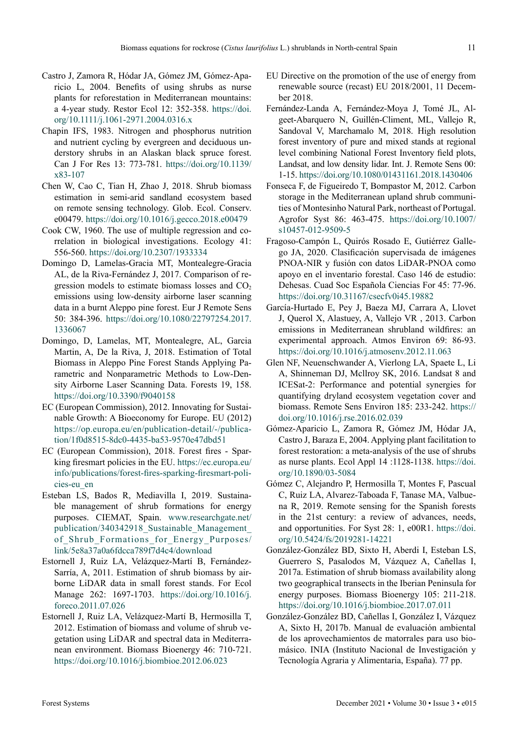- Castro J, Zamora R, Hódar JA, Gómez JM, Gómez-Aparicio L, 2004. Benefits of using shrubs as nurse plants for reforestation in Mediterranean mountains: a 4-year study. Restor Ecol 12: 352-358. [https://doi.](https://doi.org/10.1111/j.1061-2971.2004.0316.x) [org/10.1111/j.1061-2971.2004.0316.x](https://doi.org/10.1111/j.1061-2971.2004.0316.x)
- Chapin IFS, 1983. Nitrogen and phosphorus nutrition and nutrient cycling by evergreen and deciduous understory shrubs in an Alaskan black spruce forest. Can J For Res 13: 773-781. [https://doi.org/10.1139/](https://doi.org/10.1139/x83-107) [x83-107](https://doi.org/10.1139/x83-107)
- Chen W, Cao C, Tian H, Zhao J, 2018. Shrub biomass estimation in semi-arid sandland ecosystem based on remote sensing technology. Glob. Ecol. Conserv. e00479. <https://doi.org/10.1016/j.gecco.2018.e00479>
- Cook CW, 1960. The use of multiple regression and correlation in biological investigations. Ecology 41: 556-560. <https://doi.org/10.2307/1933334>
- Domingo D, Lamelas-Gracia MT, Montealegre-Gracia AL, de la Riva-Fernández J, 2017. Comparison of regression models to estimate biomass losses and  $CO<sub>2</sub>$ emissions using low-density airborne laser scanning data in a burnt Aleppo pine forest. Eur J Remote Sens 50: 384-396. [https://doi.org/10.1080/22797254.2017.](https://doi.org/10.1080/22797254.2017.1336067) [1336067](https://doi.org/10.1080/22797254.2017.1336067)
- Domingo, D, Lamelas, MT, Montealegre, AL, Garcia Martin, A, De la Riva, J, 2018. Estimation of Total Biomass in Aleppo Pine Forest Stands Applying Parametric and Nonparametric Methods to Low-Density Airborne Laser Scanning Data. Forests 19, 158. <https://doi.org/10.3390/f9040158>
- EC (European Commission), 2012. Innovating for Sustainable Growth: A Bioeconomy for Europe. EU (2012) [https://op.europa.eu/en/publication-detail/-/publica](https://op.europa.eu/en/publication-detail/-/publication/1f0d8515-8dc0-4435-ba53-9570e47dbd51)[tion/1f0d8515-8dc0-4435-ba53-9570e47dbd51](https://op.europa.eu/en/publication-detail/-/publication/1f0d8515-8dc0-4435-ba53-9570e47dbd51)
- EC (European Commission), 2018. Forest fires Sparking firesmart policies in the EU. [https://ec.europa.eu/](https://ec.europa.eu/info/publications/forest-fires-sparking-firesmart-policies-eu_en) [info/publications/forest-fires-sparking-firesmart-poli](https://ec.europa.eu/info/publications/forest-fires-sparking-firesmart-policies-eu_en)[cies-eu\\_en](https://ec.europa.eu/info/publications/forest-fires-sparking-firesmart-policies-eu_en)
- Esteban LS, Bados R, Mediavilla I, 2019. Sustainable management of shrub formations for energy purposes. CIEMAT, Spain. [www.researchgate.net/](http://www.researchgate.net/publication/340342918_Sustainable_Management_of_Shrub_Formations_for_Energy_Purposes/link/5e8a37a0a6fdcca789f7d4c4/download) [publication/340342918\\_Sustainable\\_Management\\_](http://www.researchgate.net/publication/340342918_Sustainable_Management_of_Shrub_Formations_for_Energy_Purposes/link/5e8a37a0a6fdcca789f7d4c4/download) [of\\_Shrub\\_Formations\\_for\\_Energy\\_Purposes/](http://www.researchgate.net/publication/340342918_Sustainable_Management_of_Shrub_Formations_for_Energy_Purposes/link/5e8a37a0a6fdcca789f7d4c4/download) [link/5e8a37a0a6fdcca789f7d4c4/download](http://www.researchgate.net/publication/340342918_Sustainable_Management_of_Shrub_Formations_for_Energy_Purposes/link/5e8a37a0a6fdcca789f7d4c4/download)
- Estornell J, Ruiz LA, Velázquez-Martí B, Fernández-Sarría, A, 2011. Estimation of shrub biomass by airborne LiDAR data in small forest stands. For Ecol Manage 262: 1697-1703. [https://doi.org/10.1016/j.](https://doi.org/10.1016/j.foreco.2011.07.026) [foreco.2011.07.026](https://doi.org/10.1016/j.foreco.2011.07.026)
- Estornell J, Ruiz LA, Velázquez-Martí B, Hermosilla T, 2012. Estimation of biomass and volume of shrub vegetation using LiDAR and spectral data in Mediterranean environment. Biomass Bioenergy 46: 710-721. <https://doi.org/10.1016/j.biombioe.2012.06.023>
- EU Directive on the promotion of the use of energy from renewable source (recast) EU 2018/2001, 11 December 2018.
- Fernández-Landa A, Fernández-Moya J, Tomé JL, Algeet-Abarquero N, Guillén-Climent, ML, Vallejo R, Sandoval V, Marchamalo M, 2018. High resolution forest inventory of pure and mixed stands at regional level combining National Forest Inventory field plots, Landsat, and low density lidar. Int. J. Remote Sens 00: 1-15. <https://doi.org/10.1080/01431161.2018.1430406>
- Fonseca F, de Figueiredo T, Bompastor M, 2012. Carbon storage in the Mediterranean upland shrub communities of Montesinho Natural Park, northeast of Portugal. Agrofor Syst 86: 463-475. [https://doi.org/10.1007/](https://doi.org/10.1007/s10457-012-9509-5) [s10457-012-9509-5](https://doi.org/10.1007/s10457-012-9509-5)
- Fragoso-Campón L, Quirós Rosado E, Gutiérrez Gallego JA, 2020. Clasificación supervisada de imágenes PNOA-NIR y fusión con datos LiDAR-PNOA como apoyo en el inventario forestal. Caso 146 de estudio: Dehesas. Cuad Soc Española Ciencias For 45: 77-96. <https://doi.org/10.31167/csecfv0i45.19882>
- García-Hurtado E, Pey J, Baeza MJ, Carrara A, Llovet J, Querol X, Alastuey, A, Vallejo VR , 2013. Carbon emissions in Mediterranean shrubland wildfires: an experimental approach. Atmos Environ 69: 86-93. <https://doi.org/10.1016/j.atmosenv.2012.11.063>
- Glen NF, Neuenschwander A, Vierlong LA, Spaete L, Li A, Shinneman DJ, Mcllroy SK, 2016. Landsat 8 and ICESat-2: Performance and potential synergies for quantifying dryland ecosystem vegetation cover and biomass. Remote Sens Environ 185: 233-242. [https://](https://doi.org/10.1016/j.rse.2016.02.039) [doi.org/10.1016/j.rse.2016.02.039](https://doi.org/10.1016/j.rse.2016.02.039)
- Gómez-Aparicio L, Zamora R, Gómez JM, Hódar JA, Castro J, Baraza E, 2004. Applying plant facilitation to forest restoration: a meta-analysis of the use of shrubs as nurse plants. Ecol Appl 14 :1128-1138. [https://doi.](https://doi.org/10.1890/03-5084) [org/10.1890/03-5084](https://doi.org/10.1890/03-5084)
- Gómez C, Alejandro P, Hermosilla T, Montes F, Pascual C, Ruiz LA, Alvarez-Taboada F, Tanase MA, Valbuena R, 2019. Remote sensing for the Spanish forests in the 21st century: a review of advances, needs, and opportunities. For Syst 28: 1, e00R1. [https://doi.](https://doi.org/10.5424/fs/2019281-14221) [org/10.5424/fs/2019281-14221](https://doi.org/10.5424/fs/2019281-14221)
- González-González BD, Sixto H, Aberdi I, Esteban LS, Guerrero S, Pasalodos M, Vázquez A, Cañellas I, 2017a. Estimation of shrub biomass availability along two geographical transects in the Iberian Peninsula for energy purposes. Biomass Bioenergy 105: 211-218. <https://doi.org/10.1016/j.biombioe.2017.07.011>
- González-González BD, Cañellas I, González I, Vázquez A, Sixto H, 2017b. Manual de evaluación ambiental de los aprovechamientos de matorrales para uso biomásico. INIA (Instituto Nacional de Investigación y Tecnología Agraria y Alimentaria, España). 77 pp.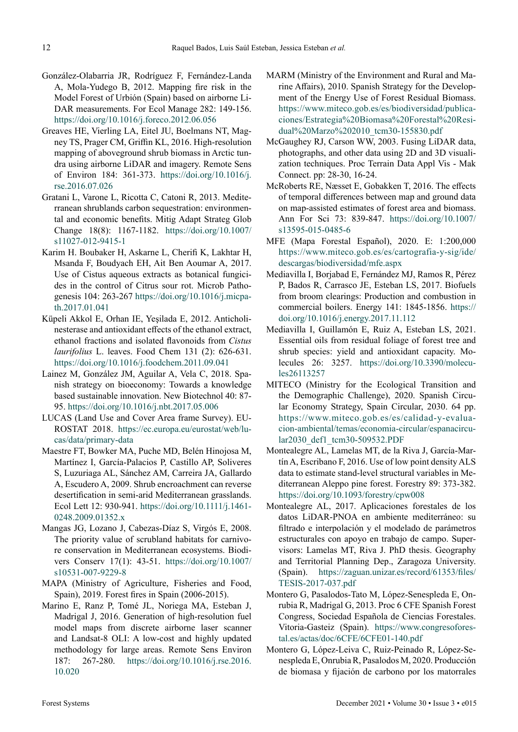- González-Olabarria JR, Rodríguez F, Fernández-Landa A, Mola-Yudego B, 2012. Mapping fire risk in the Model Forest of Urbión (Spain) based on airborne Li-DAR measurements. For Ecol Manage 282: 149-156. <https://doi.org/10.1016/j.foreco.2012.06.056>
- Greaves HE, Vierling LA, Eitel JU, Boelmans NT, Magney TS, Prager CM, Griffin KL, 2016. High-resolution mapping of aboveground shrub biomass in Arctic tundra using airborne LiDAR and imagery. Remote Sens of Environ 184: 361-373. [https://doi.org/10.1016/j.](https://doi.org/10.1016/j.rse.2016.07.026) [rse.2016.07.026](https://doi.org/10.1016/j.rse.2016.07.026)
- Gratani L, Varone L, Ricotta C, Catoni R, 2013. Mediterranean shrublands carbon sequestration: environmental and economic benefits. Mitig Adapt Strateg Glob Change 18(8): 1167-1182. [https://doi.org/10.1007/](https://doi.org/10.1007/s11027-012-9415-1) [s11027-012-9415-1](https://doi.org/10.1007/s11027-012-9415-1)
- Karim H. Boubaker H, Askarne L, Cherifi K, Lakhtar H, Msanda F, Boudyach EH, Ait Ben Aoumar A, 2017. Use of Cistus aqueous extracts as botanical fungicides in the control of Citrus sour rot. Microb Pathogenesis 104: 263-267 [https://doi.org/10.1016/j.micpa](https://doi.org/10.1016/j.micpath.2017.01.041)[th.2017.01.041](https://doi.org/10.1016/j.micpath.2017.01.041)
- Küpeli Akkol E, Orhan IE, Yeşilada E, 2012. Anticholinesterase and antioxidant effects of the ethanol extract, ethanol fractions and isolated flavonoids from *Cistus laurifolius* L. leaves. Food Chem 131 (2): 626-631. <https://doi.org/10.1016/j.foodchem.2011.09.041>
- Lainez M, González JM, Aguilar A, Vela C, 2018. Spanish strategy on bioeconomy: Towards a knowledge based sustainable innovation. New Biotechnol 40: 87- 95.<https://doi.org/10.1016/j.nbt.2017.05.006>
- LUCAS (Land Use and Cover Area frame Survey). EU-ROSTAT 2018. [https://ec.europa.eu/eurostat/web/lu](https://ec.europa.eu/eurostat/web/lucas/data/primary-data)[cas/data/primary-data](https://ec.europa.eu/eurostat/web/lucas/data/primary-data)
- Maestre FT, Bowker MA, Puche MD, Belén Hinojosa M, Martínez I, García-Palacios P, Castillo AP, Soliveres S, Luzuriaga AL, Sánchez AM, Carreira JA, Gallardo A, Escudero A, 2009. Shrub encroachment can reverse desertification in semi-arid Mediterranean grasslands. Ecol Lett 12: 930-941. [https://doi.org/10.1111/j.1461-](https://doi.org/10.1111/j.1461-0248.2009.01352.x) [0248.2009.01352.x](https://doi.org/10.1111/j.1461-0248.2009.01352.x)
- Mangas JG, Lozano J, Cabezas-Díaz S, Virgós E, 2008. The priority value of scrubland habitats for carnivore conservation in Mediterranean ecosystems. Biodivers Conserv 17(1): 43-51. [https://doi.org/10.1007/](https://doi.org/10.1007/s10531-007-9229-8) [s10531-007-9229-8](https://doi.org/10.1007/s10531-007-9229-8)
- MAPA (Ministry of Agriculture, Fisheries and Food, Spain), 2019. Forest fires in Spain (2006-2015).
- Marino E, Ranz P, Tomé JL, Noriega MA, Esteban J, Madrigal J, 2016. Generation of high-resolution fuel model maps from discrete airborne laser scanner and Landsat-8 OLI: A low-cost and highly updated methodology for large areas. Remote Sens Environ 187: 267-280. [https://doi.org/10.1016/j.rse.2016.](https://doi.org/10.1016/j.rse.2016.10.020) [10.020](https://doi.org/10.1016/j.rse.2016.10.020)
- MARM (Ministry of the Environment and Rural and Marine Affairs), 2010. Spanish Strategy for the Development of the Energy Use of Forest Residual Biomass. [https://www.miteco.gob.es/es/biodiversidad/publica](https://www.miteco.gob.es/es/biodiversidad/publicaciones/Estrategia%20Biomasa%20Forestal%20Residual%20Marzo%202010_tcm30-155830.pdf
)[ciones/Estrategia%20Biomasa%20Forestal%20Resi](https://www.miteco.gob.es/es/biodiversidad/publicaciones/Estrategia%20Biomasa%20Forestal%20Residual%20Marzo%202010_tcm30-155830.pdf
)[dual%20Marzo%202010\\_tcm30-155830.pdf](https://www.miteco.gob.es/es/biodiversidad/publicaciones/Estrategia%20Biomasa%20Forestal%20Residual%20Marzo%202010_tcm30-155830.pdf
)
- McGaughey RJ, Carson WW, 2003. Fusing LiDAR data, photographs, and other data using 2D and 3D visualization techniques. Proc Terrain Data Appl Vis - Mak Connect. pp: 28-30, 16-24.
- McRoberts RE, Næsset E, Gobakken T, 2016. The effects of temporal differences between map and ground data on map-assisted estimates of forest area and biomass. Ann For Sci 73: 839-847. [https://doi.org/10.1007/](https://doi.org/10.1007/s13595-015-0485-6) [s13595-015-0485-6](https://doi.org/10.1007/s13595-015-0485-6)
- MFE (Mapa Forestal Español), 2020. E: 1:200,000 [https://www.miteco.gob.es/es/cartografia-y-sig/ide/](https://www.miteco.gob.es/es/cartografia-y-sig/ide/descargas/biodiversidad/mfe.aspx) [descargas/biodiversidad/mfe.aspx](https://www.miteco.gob.es/es/cartografia-y-sig/ide/descargas/biodiversidad/mfe.aspx)
- Mediavilla I, Borjabad E, Fernández MJ, Ramos R, Pérez P, Bados R, Carrasco JE, Esteban LS, 2017. Biofuels from broom clearings: Production and combustion in commercial boilers. Energy 141: 1845-1856. [https://](https://doi.org/10.1016/j.energy.2017.11.112) [doi.org/10.1016/j.energy.2017.11.112](https://doi.org/10.1016/j.energy.2017.11.112)
- Mediavilla I, Guillamón E, Ruiz A, Esteban LS, 2021. Essential oils from residual foliage of forest tree and shrub species: yield and antioxidant capacity. Molecules 26: 3257. [https://doi.org/10.3390/molecu](https://doi.org/10.3390/molecules26113257)[les26113257](https://doi.org/10.3390/molecules26113257)
- MITECO (Ministry for the Ecological Transition and the Demographic Challenge), 2020. Spanish Circular Economy Strategy, Spain Circular, 2030. 64 pp. [https://www.miteco.gob.es/es/calidad-y-evalua](https://www.miteco.gob.es/es/calidad-y-evaluacion-ambiental/temas/economia-circular/espanacircular2030_def1_tcm30-509532.PDF)[cion-ambiental/temas/economia-circular/espanacircu](https://www.miteco.gob.es/es/calidad-y-evaluacion-ambiental/temas/economia-circular/espanacircular2030_def1_tcm30-509532.PDF)[lar2030\\_def1\\_tcm30-509532.PDF](https://www.miteco.gob.es/es/calidad-y-evaluacion-ambiental/temas/economia-circular/espanacircular2030_def1_tcm30-509532.PDF)
- Montealegre AL, Lamelas MT, de la Riva J, García-Martín A, Escribano F, 2016. Use of low point density ALS data to estimate stand-level structural variables in Mediterranean Aleppo pine forest. Forestry 89: 373-382. <https://doi.org/10.1093/forestry/cpw008>
- Montealegre AL, 2017. Aplicaciones forestales de los datos LiDAR-PNOA en ambiente mediterráneo: su filtrado e interpolación y el modelado de parámetros estructurales con apoyo en trabajo de campo. Supervisors: Lamelas MT, Riva J. PhD thesis. Geography and Territorial Planning Dep., Zaragoza University. (Spain). [https://zaguan.unizar.es/record/61353/files/](https://zaguan.unizar.es/record/61353/files/TESIS-2017-037.pdf) [TESIS-2017-037.pdf](https://zaguan.unizar.es/record/61353/files/TESIS-2017-037.pdf)
- Montero G, Pasalodos-Tato M, López-Senespleda E, Onrubia R, Madrigal G, 2013. Proc 6 CFE Spanish Forest Congress, Sociedad Española de Ciencias Forestales. Vitoria-Gasteiz (Spain). [https://www.congresofores](https://www.congresoforestal.es/actas/doc/6CFE/6CFE01-140.pdf)[tal.es/actas/doc/6CFE/6CFE01-140.pdf](https://www.congresoforestal.es/actas/doc/6CFE/6CFE01-140.pdf)
- Montero G, López-Leiva C, Ruiz-Peinado R, López-Senespleda E, Onrubia R, Pasalodos M, 2020. Producción de biomasa y fijación de carbono por los matorrales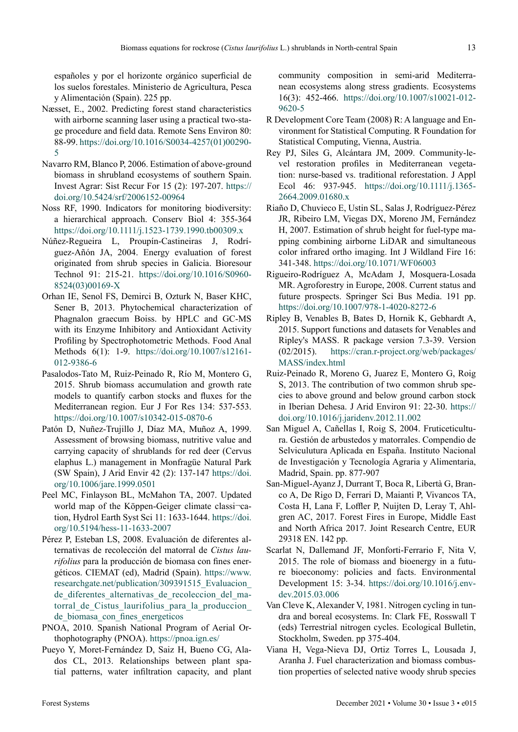españoles y por el horizonte orgánico superficial de los suelos forestales. Ministerio de Agricultura, Pesca y Alimentación (Spain). 225 pp.

- Næsset, E., 2002. Predicting forest stand characteristics with airborne scanning laser using a practical two-stage procedure and field data. Remote Sens Environ 80: 88-99. [https://doi.org/10.1016/S0034-4257\(01\)00290-](https://doi.org/10.1016/S0034-4257(01)00290-5) [5](https://doi.org/10.1016/S0034-4257(01)00290-5)
- Navarro RM, Blanco P, 2006. Estimation of above-ground biomass in shrubland ecosystems of southern Spain. Invest Agrar: Sist Recur For 15 (2): 197-207. [https://](https://doi.org/10.5424/srf/2006152-00964) [doi.org/10.5424/srf/2006152-00964](https://doi.org/10.5424/srf/2006152-00964)
- Noss RF, 1990. Indicators for monitoring biodiversity: a hierarchical approach. Conserv Biol 4: 355-364 <https://doi.org/10.1111/j.1523-1739.1990.tb00309.x>
- Núñez-Regueira L, Proupín-Castineiras J, Rodríguez-Añón JA, 2004. Energy evaluation of forest originated from shrub species in Galicia. Bioresour Technol 91: 215-21. [https://doi.org/10.1016/S0960-](https://doi.org/10.1016/S0960-8524(03)00169-X) [8524\(03\)00169-X](https://doi.org/10.1016/S0960-8524(03)00169-X)
- Orhan IE, Senol FS, Demirci B, Ozturk N, Baser KHC, Sener B, 2013. Phytochemical characterization of Phagnalon graecum Boiss. by HPLC and GC-MS with its Enzyme Inhibitory and Antioxidant Activity Profiling by Spectrophotometric Methods. Food Anal Methods 6(1): 1-9. [https://doi.org/10.1007/s12161-](https://doi.org/10.1007/s12161-012-9386-6) [012-9386-6](https://doi.org/10.1007/s12161-012-9386-6)
- Pasalodos-Tato M, Ruiz-Peinado R, Río M, Montero G, 2015. Shrub biomass accumulation and growth rate models to quantify carbon stocks and fluxes for the Mediterranean region. Eur J For Res 134: 537-553. <https://doi.org/10.1007/s10342-015-0870-6>
- Patón D, Nuñez-Trujillo J, Díaz MA, Muñoz A, 1999. Assessment of browsing biomass, nutritive value and carrying capacity of shrublands for red deer (Cervus elaphus L.) management in Monfragüe Natural Park (SW Spain), J Arid Envir 42 (2): 137-147 [https://doi.](https://doi.org/10.1006/jare.1999.0501) [org/10.1006/jare.1999.0501](https://doi.org/10.1006/jare.1999.0501)
- Peel MC, Finlayson BL, McMahon TA, 2007. Updated world map of the Köppen-Geiger climate classi¬cation, Hydrol Earth Syst Sci 11: 1633-1644. [https://doi.](https://doi.org/10.5194/hess-11-1633-2007) [org/10.5194/hess-11-1633-2007](https://doi.org/10.5194/hess-11-1633-2007)
- Pérez P, Esteban LS, 2008. Evaluación de diferentes alternativas de recolección del matorral de *Cistus laurifolius* para la producción de biomasa con fines energéticos. CIEMAT (ed), Madrid (Spain). [https://www.](https://www.researchgate.net/publication/309391515_Evaluacion_de_diferentes_alternativas_de_recoleccion_del_matorral_de_Cistus_laurifolius_para_la_produccion_de_biomasa_con_fines_energeticos) [researchgate.net/publication/309391515\\_Evaluacion\\_](https://www.researchgate.net/publication/309391515_Evaluacion_de_diferentes_alternativas_de_recoleccion_del_matorral_de_Cistus_laurifolius_para_la_produccion_de_biomasa_con_fines_energeticos) de diferentes alternativas de recoleccion del matorral de Cistus laurifolius para\_la\_produccion\_ [de\\_biomasa\\_con\\_fines\\_energeticos](https://www.researchgate.net/publication/309391515_Evaluacion_de_diferentes_alternativas_de_recoleccion_del_matorral_de_Cistus_laurifolius_para_la_produccion_de_biomasa_con_fines_energeticos)
- PNOA, 2010. Spanish National Program of Aerial Orthophotography (PNOA).<https://pnoa.ign.es/>
- Pueyo Y, Moret-Fernández D, Saiz H, Bueno CG, Alados CL, 2013. Relationships between plant spatial patterns, water infiltration capacity, and plant

community composition in semi-arid Mediterranean ecosystems along stress gradients. Ecosystems 16(3): 452-466. [https://doi.org/10.1007/s10021-012-](https://doi.org/10.1007/s10021-012-9620-5) [9620-5](https://doi.org/10.1007/s10021-012-9620-5)

- R Development Core Team (2008) R: A language and Environment for Statistical Computing. R Foundation for Statistical Computing, Vienna, Austria.
- Rey PJ, Siles G, Alcántara JM, 2009. Community-level restoration profiles in Mediterranean vegetation: nurse-based vs. traditional reforestation. J Appl Ecol 46: 937-945. [https://doi.org/10.1111/j.1365-](https://doi.org/10.1111/j.1365-2664.2009.01680.x) [2664.2009.01680.x](https://doi.org/10.1111/j.1365-2664.2009.01680.x)
- Riaño D, Chuvieco E, Ustin SL, Salas J, Rodríguez-Pérez JR, Ribeiro LM, Viegas DX, Moreno JM, Fernández H, 2007. Estimation of shrub height for fuel-type mapping combining airborne LiDAR and simultaneous color infrared ortho imaging. Int J Wildland Fire 16: 341-348. <https://doi.org/10.1071/WF06003>
- Rigueiro-Rodríguez A, McAdam J, Mosquera-Losada MR. Agroforestry in Europe, 2008. Current status and future prospects. Springer Sci Bus Media. 191 pp. <https://doi.org/10.1007/978-1-4020-8272-6>
- Ripley B, Venables B, Bates D, Hornik K, Gebhardt A, 2015. Support functions and datasets for Venables and Ripley's MASS. R package version 7.3-39. Version (02/2015). [https://cran.r-project.org/web/packages/](https://cran.r-project.org/web/packages/MASS/index.html) [MASS/index.html](https://cran.r-project.org/web/packages/MASS/index.html)
- Ruiz-Peinado R, Moreno G, Juarez E, Montero G, Roig S, 2013. The contribution of two common shrub species to above ground and below ground carbon stock in Iberian Dehesa. J Arid Environ 91: 22-30. [https://](https://doi.org/10.1016/j.jaridenv.2012.11.002) [doi.org/10.1016/j.jaridenv.2012.11.002](https://doi.org/10.1016/j.jaridenv.2012.11.002)
- San Miguel A, Cañellas I, Roig S, 2004. Fruticeticultura. Gestión de arbustedos y matorrales. Compendio de Selviculutura Aplicada en España. Instituto Nacional de Investigación y Tecnología Agraria y Alimentaria, Madrid, Spain. pp. 877-907
- San-Miguel-Ayanz J, Durrant T, Boca R, Libertà G, Branco A, De Rigo D, Ferrari D, Maianti P, Vivancos TA, Costa H, Lana F, Loffler P, Nuijten D, Leray T, Ahlgren AC, 2017. Forest Fires in Europe, Middle East and North Africa 2017. Joint Research Centre, EUR 29318 EN. 142 pp.
- Scarlat N, Dallemand JF, Monforti-Ferrario F, Nita V, 2015. The role of biomass and bioenergy in a future bioeconomy: policies and facts. Environmental Development 15: 3-34. [https://doi.org/10.1016/j.env](https://doi.org/10.1016/j.envdev.2015.03.006)[dev.2015.03.006](https://doi.org/10.1016/j.envdev.2015.03.006)
- Van Cleve K, Alexander V, 1981. Nitrogen cycling in tundra and boreal ecosystems. In: Clark FE, Rosswall T (eds) Terrestrial nitrogen cycles. Ecological Bulletin, Stockholm, Sweden. pp 375-404.
- Viana H, Vega-Nieva DJ, Ortiz Torres L, Lousada J, Aranha J. Fuel characterization and biomass combustion properties of selected native woody shrub species